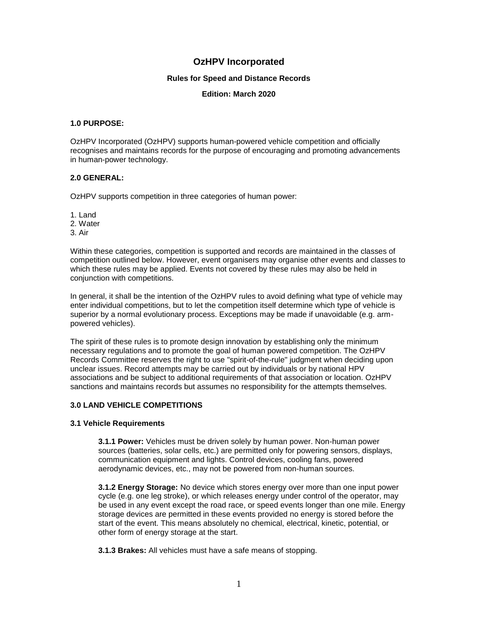# **OzHPV Incorporated**

### **Rules for Speed and Distance Records**

#### **Edition: March 2020**

### **1.0 PURPOSE:**

OzHPV Incorporated (OzHPV) supports human-powered vehicle competition and officially recognises and maintains records for the purpose of encouraging and promoting advancements in human-power technology.

# **2.0 GENERAL:**

OzHPV supports competition in three categories of human power:

1. Land

2. Water

3. Air

Within these categories, competition is supported and records are maintained in the classes of competition outlined below. However, event organisers may organise other events and classes to which these rules may be applied. Events not covered by these rules may also be held in conjunction with competitions.

In general, it shall be the intention of the OzHPV rules to avoid defining what type of vehicle may enter individual competitions, but to let the competition itself determine which type of vehicle is superior by a normal evolutionary process. Exceptions may be made if unavoidable (e.g. armpowered vehicles).

The spirit of these rules is to promote design innovation by establishing only the minimum necessary regulations and to promote the goal of human powered competition. The OzHPV Records Committee reserves the right to use "spirit-of-the-rule" judgment when deciding upon unclear issues. Record attempts may be carried out by individuals or by national HPV associations and be subject to additional requirements of that association or location. OzHPV sanctions and maintains records but assumes no responsibility for the attempts themselves.

# **3.0 LAND VEHICLE COMPETITIONS**

### **3.1 Vehicle Requirements**

**3.1.1 Power:** Vehicles must be driven solely by human power. Non-human power sources (batteries, solar cells, etc.) are permitted only for powering sensors, displays, communication equipment and lights. Control devices, cooling fans, powered aerodynamic devices, etc., may not be powered from non-human sources.

**3.1.2 Energy Storage:** No device which stores energy over more than one input power cycle (e.g. one leg stroke), or which releases energy under control of the operator, may be used in any event except the road race, or speed events longer than one mile. Energy storage devices are permitted in these events provided no energy is stored before the start of the event. This means absolutely no chemical, electrical, kinetic, potential, or other form of energy storage at the start.

**3.1.3 Brakes:** All vehicles must have a safe means of stopping.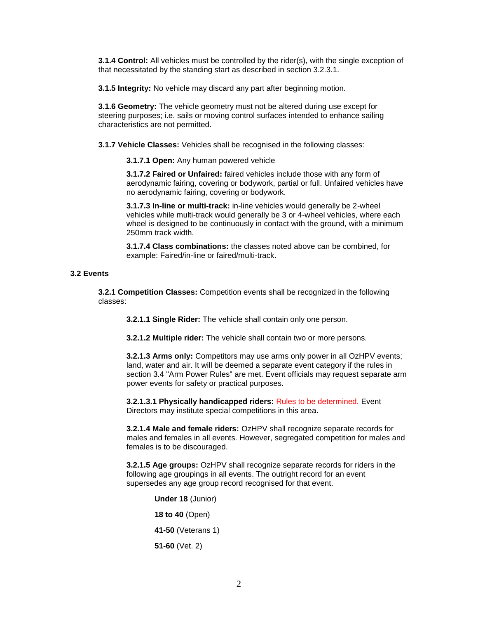**3.1.4 Control:** All vehicles must be controlled by the rider(s), with the single exception of that necessitated by the standing start as described in section 3.2.3.1.

**3.1.5 Integrity:** No vehicle may discard any part after beginning motion.

**3.1.6 Geometry:** The vehicle geometry must not be altered during use except for steering purposes; i.e. sails or moving control surfaces intended to enhance sailing characteristics are not permitted.

**3.1.7 Vehicle Classes:** Vehicles shall be recognised in the following classes:

**3.1.7.1 Open:** Any human powered vehicle

**3.1.7.2 Faired or Unfaired:** faired vehicles include those with any form of aerodynamic fairing, covering or bodywork, partial or full. Unfaired vehicles have no aerodynamic fairing, covering or bodywork.

**3.1.7.3 In-line or multi-track:** in-line vehicles would generally be 2-wheel vehicles while multi-track would generally be 3 or 4-wheel vehicles, where each wheel is designed to be continuously in contact with the ground, with a minimum 250mm track width.

**3.1.7.4 Class combinations:** the classes noted above can be combined, for example: Faired/in-line or faired/multi-track.

#### **3.2 Events**

**3.2.1 Competition Classes:** Competition events shall be recognized in the following classes:

**3.2.1.1 Single Rider:** The vehicle shall contain only one person.

**3.2.1.2 Multiple rider:** The vehicle shall contain two or more persons.

**3.2.1.3 Arms only:** Competitors may use arms only power in all OzHPV events; land, water and air. It will be deemed a separate event category if the rules in section 3.4 "Arm Power Rules" are met. Event officials may request separate arm power events for safety or practical purposes.

**3.2.1.3.1 Physically handicapped riders:** Rules to be determined. Event Directors may institute special competitions in this area.

**3.2.1.4 Male and female riders:** OzHPV shall recognize separate records for males and females in all events. However, segregated competition for males and females is to be discouraged.

**3.2.1.5 Age groups:** OzHPV shall recognize separate records for riders in the following age groupings in all events. The outright record for an event supersedes any age group record recognised for that event.

> **Under 18** (Junior) **18 to 40** (Open) **41-50** (Veterans 1) **51-60** (Vet. 2)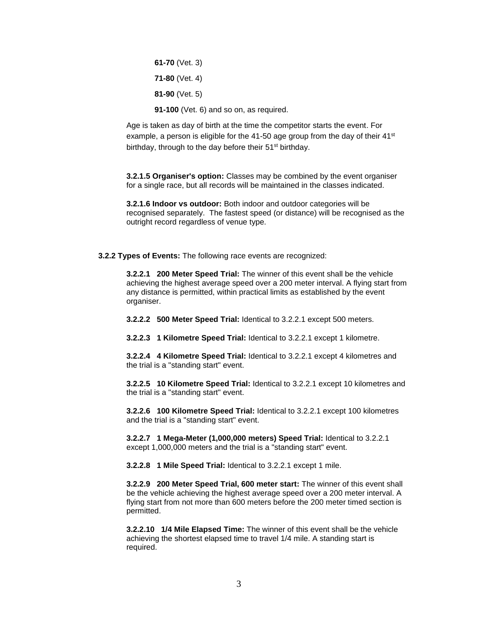**61-70** (Vet. 3) **71-80** (Vet. 4) **81-90** (Vet. 5) **91-100** (Vet. 6) and so on, as required.

Age is taken as day of birth at the time the competitor starts the event. For example, a person is eligible for the 41-50 age group from the day of their  $41<sup>st</sup>$ birthday, through to the day before their 51<sup>st</sup> birthday.

**3.2.1.5 Organiser's option:** Classes may be combined by the event organiser for a single race, but all records will be maintained in the classes indicated.

**3.2.1.6 Indoor vs outdoor:** Both indoor and outdoor categories will be recognised separately. The fastest speed (or distance) will be recognised as the outright record regardless of venue type.

**3.2.2 Types of Events:** The following race events are recognized:

**3.2.2.1 200 Meter Speed Trial:** The winner of this event shall be the vehicle achieving the highest average speed over a 200 meter interval. A flying start from any distance is permitted, within practical limits as established by the event organiser.

**3.2.2.2 500 Meter Speed Trial:** Identical to 3.2.2.1 except 500 meters.

**3.2.2.3 1 Kilometre Speed Trial:** Identical to 3.2.2.1 except 1 kilometre.

**3.2.2.4 4 Kilometre Speed Trial:** Identical to 3.2.2.1 except 4 kilometres and the trial is a "standing start" event.

**3.2.2.5 10 Kilometre Speed Trial:** Identical to 3.2.2.1 except 10 kilometres and the trial is a "standing start" event.

**3.2.2.6 100 Kilometre Speed Trial:** Identical to 3.2.2.1 except 100 kilometres and the trial is a "standing start" event.

**3.2.2.7 1 Mega-Meter (1,000,000 meters) Speed Trial:** Identical to 3.2.2.1 except 1,000,000 meters and the trial is a "standing start" event.

**3.2.2.8 1 Mile Speed Trial:** Identical to 3.2.2.1 except 1 mile.

**3.2.2.9 200 Meter Speed Trial, 600 meter start:** The winner of this event shall be the vehicle achieving the highest average speed over a 200 meter interval. A flying start from not more than 600 meters before the 200 meter timed section is permitted.

**3.2.2.10 1/4 Mile Elapsed Time:** The winner of this event shall be the vehicle achieving the shortest elapsed time to travel 1/4 mile. A standing start is required.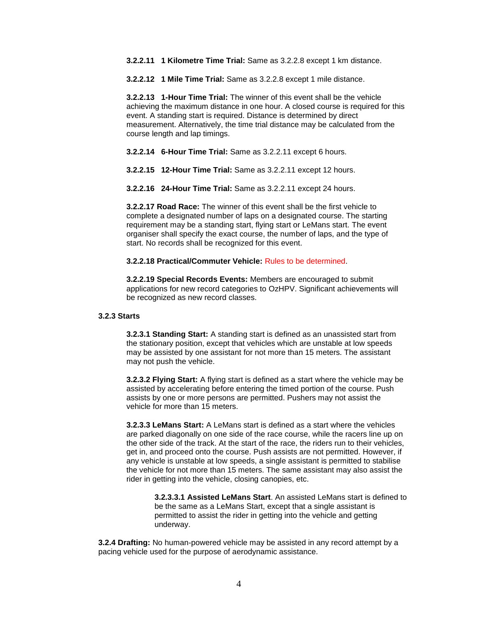**3.2.2.11 1 Kilometre Time Trial:** Same as 3.2.2.8 except 1 km distance.

**3.2.2.12 1 Mile Time Trial:** Same as 3.2.2.8 except 1 mile distance.

**3.2.2.13 1-Hour Time Trial:** The winner of this event shall be the vehicle achieving the maximum distance in one hour. A closed course is required for this event. A standing start is required. Distance is determined by direct measurement. Alternatively, the time trial distance may be calculated from the course length and lap timings.

**3.2.2.14 6-Hour Time Trial:** Same as 3.2.2.11 except 6 hours.

**3.2.2.15 12-Hour Time Trial:** Same as 3.2.2.11 except 12 hours.

**3.2.2.16 24-Hour Time Trial:** Same as 3.2.2.11 except 24 hours.

**3.2.2.17 Road Race:** The winner of this event shall be the first vehicle to complete a designated number of laps on a designated course. The starting requirement may be a standing start, flying start or LeMans start. The event organiser shall specify the exact course, the number of laps, and the type of start. No records shall be recognized for this event.

#### **3.2.2.18 Practical/Commuter Vehicle:** Rules to be determined.

**3.2.2.19 Special Records Events:** Members are encouraged to submit applications for new record categories to OzHPV. Significant achievements will be recognized as new record classes.

#### **3.2.3 Starts**

**3.2.3.1 Standing Start:** A standing start is defined as an unassisted start from the stationary position, except that vehicles which are unstable at low speeds may be assisted by one assistant for not more than 15 meters. The assistant may not push the vehicle.

**3.2.3.2 Flying Start:** A flying start is defined as a start where the vehicle may be assisted by accelerating before entering the timed portion of the course. Push assists by one or more persons are permitted. Pushers may not assist the vehicle for more than 15 meters.

**3.2.3.3 LeMans Start:** A LeMans start is defined as a start where the vehicles are parked diagonally on one side of the race course, while the racers line up on the other side of the track. At the start of the race, the riders run to their vehicles, get in, and proceed onto the course. Push assists are not permitted. However, if any vehicle is unstable at low speeds, a single assistant is permitted to stabilise the vehicle for not more than 15 meters. The same assistant may also assist the rider in getting into the vehicle, closing canopies, etc.

> **3.2.3.3.1 Assisted LeMans Start**. An assisted LeMans start is defined to be the same as a LeMans Start, except that a single assistant is permitted to assist the rider in getting into the vehicle and getting underway.

**3.2.4 Drafting:** No human-powered vehicle may be assisted in any record attempt by a pacing vehicle used for the purpose of aerodynamic assistance.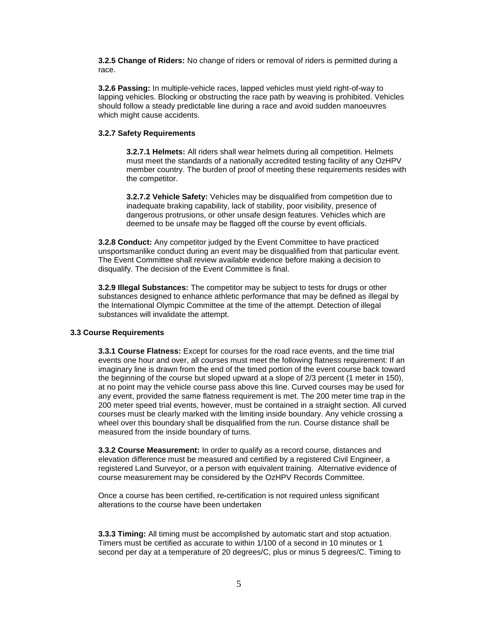**3.2.5 Change of Riders:** No change of riders or removal of riders is permitted during a race.

**3.2.6 Passing:** In multiple-vehicle races, lapped vehicles must yield right-of-way to lapping vehicles. Blocking or obstructing the race path by weaving is prohibited. Vehicles should follow a steady predictable line during a race and avoid sudden manoeuvres which might cause accidents.

# **3.2.7 Safety Requirements**

**3.2.7.1 Helmets:** All riders shall wear helmets during all competition. Helmets must meet the standards of a nationally accredited testing facility of any OzHPV member country. The burden of proof of meeting these requirements resides with the competitor.

**3.2.7.2 Vehicle Safety:** Vehicles may be disqualified from competition due to inadequate braking capability, lack of stability, poor visibility, presence of dangerous protrusions, or other unsafe design features. Vehicles which are deemed to be unsafe may be flagged off the course by event officials.

**3.2.8 Conduct:** Any competitor judged by the Event Committee to have practiced unsportsmanlike conduct during an event may be disqualified from that particular event. The Event Committee shall review available evidence before making a decision to disqualify. The decision of the Event Committee is final.

**3.2.9 Illegal Substances:** The competitor may be subject to tests for drugs or other substances designed to enhance athletic performance that may be defined as illegal by the International Olympic Committee at the time of the attempt. Detection of illegal substances will invalidate the attempt.

### **3.3 Course Requirements**

**3.3.1 Course Flatness:** Except for courses for the road race events, and the time trial events one hour and over, all courses must meet the following flatness requirement: If an imaginary line is drawn from the end of the timed portion of the event course back toward the beginning of the course but sloped upward at a slope of 2/3 percent (1 meter in 150), at no point may the vehicle course pass above this line. Curved courses may be used for any event, provided the same flatness requirement is met. The 200 meter time trap in the 200 meter speed trial events, however, must be contained in a straight section. All curved courses must be clearly marked with the limiting inside boundary. Any vehicle crossing a wheel over this boundary shall be disqualified from the run. Course distance shall be measured from the inside boundary of turns.

**3.3.2 Course Measurement:** In order to qualify as a record course, distances and elevation difference must be measured and certified by a registered Civil Engineer, a registered Land Surveyor, or a person with equivalent training. Alternative evidence of course measurement may be considered by the OzHPV Records Committee.

Once a course has been certified, re**-**certification is not required unless significant alterations to the course have been undertaken

**3.3.3 Timing:** All timing must be accomplished by automatic start and stop actuation. Timers must be certified as accurate to within 1/100 of a second in 10 minutes or 1 second per day at a temperature of 20 degrees/C, plus or minus 5 degrees/C. Timing to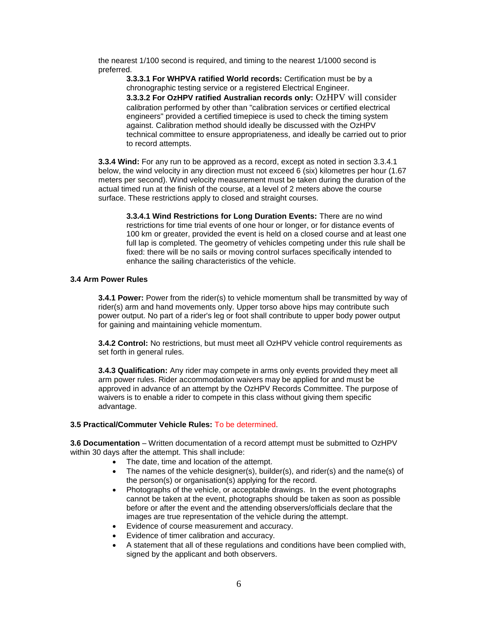the nearest 1/100 second is required, and timing to the nearest 1/1000 second is preferred.

**3.3.3.1 For WHPVA ratified World records:** Certification must be by a chronographic testing service or a registered Electrical Engineer. **3.3.3.2 For OzHPV ratified Australian records only:** OzHPV will consider calibration performed by other than "calibration services or certified electrical engineers" provided a certified timepiece is used to check the timing system against. Calibration method should ideally be discussed with the OzHPV technical committee to ensure appropriateness, and ideally be carried out to prior to record attempts.

**3.3.4 Wind:** For any run to be approved as a record, except as noted in section 3.3.4.1 below, the wind velocity in any direction must not exceed 6 (six) kilometres per hour (1.67 meters per second). Wind velocity measurement must be taken during the duration of the actual timed run at the finish of the course, at a level of 2 meters above the course surface. These restrictions apply to closed and straight courses.

**3.3.4.1 Wind Restrictions for Long Duration Events:** There are no wind restrictions for time trial events of one hour or longer, or for distance events of 100 km or greater, provided the event is held on a closed course and at least one full lap is completed. The geometry of vehicles competing under this rule shall be fixed: there will be no sails or moving control surfaces specifically intended to enhance the sailing characteristics of the vehicle.

# **3.4 Arm Power Rules**

**3.4.1 Power:** Power from the rider(s) to vehicle momentum shall be transmitted by way of rider(s) arm and hand movements only. Upper torso above hips may contribute such power output. No part of a rider's leg or foot shall contribute to upper body power output for gaining and maintaining vehicle momentum.

**3.4.2 Control:** No restrictions, but must meet all OzHPV vehicle control requirements as set forth in general rules.

**3.4.3 Qualification:** Any rider may compete in arms only events provided they meet all arm power rules. Rider accommodation waivers may be applied for and must be approved in advance of an attempt by the OzHPV Records Committee. The purpose of waivers is to enable a rider to compete in this class without giving them specific advantage.

### **3.5 Practical/Commuter Vehicle Rules:** To be determined.

**3.6 Documentation** – Written documentation of a record attempt must be submitted to OzHPV within 30 days after the attempt. This shall include:

- The date, time and location of the attempt.
- The names of the vehicle designer(s), builder(s), and rider(s) and the name(s) of the person(s) or organisation(s) applying for the record.
- Photographs of the vehicle, or acceptable drawings. In the event photographs cannot be taken at the event, photographs should be taken as soon as possible before or after the event and the attending observers/officials declare that the images are true representation of the vehicle during the attempt.
- Evidence of course measurement and accuracy.
- Evidence of timer calibration and accuracy.
- A statement that all of these regulations and conditions have been complied with, signed by the applicant and both observers.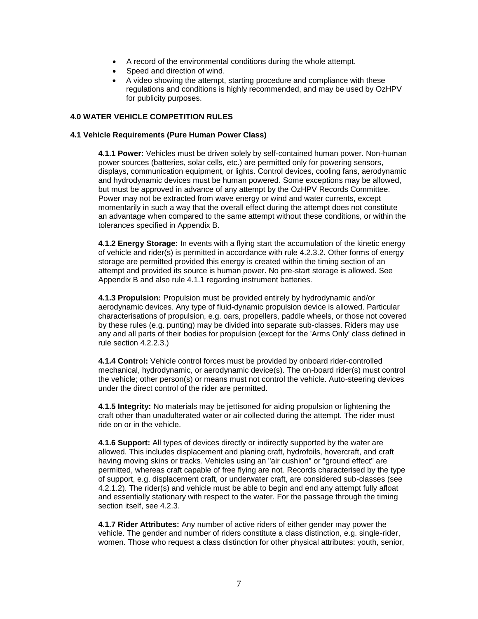- A record of the environmental conditions during the whole attempt.
- Speed and direction of wind.
- A video showing the attempt, starting procedure and compliance with these regulations and conditions is highly recommended, and may be used by OzHPV for publicity purposes.

# **4.0 WATER VEHICLE COMPETITION RULES**

### **4.1 Vehicle Requirements (Pure Human Power Class)**

**4.1.1 Power:** Vehicles must be driven solely by self-contained human power. Non-human power sources (batteries, solar cells, etc.) are permitted only for powering sensors, displays, communication equipment, or lights. Control devices, cooling fans, aerodynamic and hydrodynamic devices must be human powered. Some exceptions may be allowed, but must be approved in advance of any attempt by the OzHPV Records Committee. Power may not be extracted from wave energy or wind and water currents, except momentarily in such a way that the overall effect during the attempt does not constitute an advantage when compared to the same attempt without these conditions, or within the tolerances specified in Appendix B.

**4.1.2 Energy Storage:** In events with a flying start the accumulation of the kinetic energy of vehicle and rider(s) is permitted in accordance with rule 4.2.3.2. Other forms of energy storage are permitted provided this energy is created within the timing section of an attempt and provided its source is human power. No pre-start storage is allowed. See Appendix B and also rule 4.1.1 regarding instrument batteries.

**4.1.3 Propulsion:** Propulsion must be provided entirely by hydrodynamic and/or aerodynamic devices. Any type of fluid-dynamic propulsion device is allowed. Particular characterisations of propulsion, e.g. oars, propellers, paddle wheels, or those not covered by these rules (e.g. punting) may be divided into separate sub-classes. Riders may use any and all parts of their bodies for propulsion (except for the 'Arms Only' class defined in rule section 4.2.2.3.)

**4.1.4 Control:** Vehicle control forces must be provided by onboard rider-controlled mechanical, hydrodynamic, or aerodynamic device(s). The on-board rider(s) must control the vehicle; other person(s) or means must not control the vehicle. Auto-steering devices under the direct control of the rider are permitted.

**4.1.5 Integrity:** No materials may be jettisoned for aiding propulsion or lightening the craft other than unadulterated water or air collected during the attempt. The rider must ride on or in the vehicle.

**4.1.6 Support:** All types of devices directly or indirectly supported by the water are allowed. This includes displacement and planing craft, hydrofoils, hovercraft, and craft having moving skins or tracks. Vehicles using an "air cushion" or "ground effect" are permitted, whereas craft capable of free flying are not. Records characterised by the type of support, e.g. displacement craft, or underwater craft, are considered sub-classes (see 4.2.1.2). The rider(s) and vehicle must be able to begin and end any attempt fully afloat and essentially stationary with respect to the water. For the passage through the timing section itself, see 4.2.3.

**4.1.7 Rider Attributes:** Any number of active riders of either gender may power the vehicle. The gender and number of riders constitute a class distinction, e.g. single-rider, women. Those who request a class distinction for other physical attributes: youth, senior,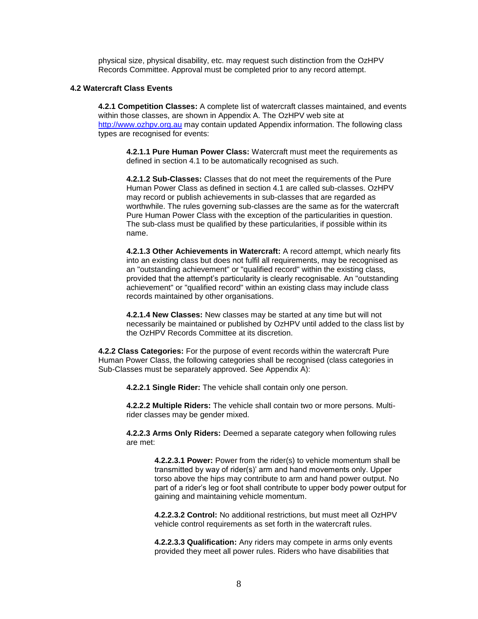physical size, physical disability, etc. may request such distinction from the OzHPV Records Committee. Approval must be completed prior to any record attempt.

#### **4.2 Watercraft Class Events**

**4.2.1 Competition Classes:** A complete list of watercraft classes maintained, and events within those classes, are shown in Appendix A. The OzHPV web site at [http://www.ozhpv.org.au](http://www.ozhpv.org.au/) may contain updated Appendix information. The following class types are recognised for events:

**4.2.1.1 Pure Human Power Class:** Watercraft must meet the requirements as defined in section 4.1 to be automatically recognised as such.

**4.2.1.2 Sub-Classes:** Classes that do not meet the requirements of the Pure Human Power Class as defined in section 4.1 are called sub-classes. OzHPV may record or publish achievements in sub-classes that are regarded as worthwhile. The rules governing sub-classes are the same as for the watercraft Pure Human Power Class with the exception of the particularities in question. The sub-class must be qualified by these particularities, if possible within its name.

**4.2.1.3 Other Achievements in Watercraft:** A record attempt, which nearly fits into an existing class but does not fulfil all requirements, may be recognised as an "outstanding achievement" or "qualified record" within the existing class, provided that the attempt's particularity is clearly recognisable. An "outstanding achievement" or "qualified record" within an existing class may include class records maintained by other organisations.

**4.2.1.4 New Classes:** New classes may be started at any time but will not necessarily be maintained or published by OzHPV until added to the class list by the OzHPV Records Committee at its discretion.

**4.2.2 Class Categories:** For the purpose of event records within the watercraft Pure Human Power Class, the following categories shall be recognised (class categories in Sub-Classes must be separately approved. See Appendix A):

**4.2.2.1 Single Rider:** The vehicle shall contain only one person.

**4.2.2.2 Multiple Riders:** The vehicle shall contain two or more persons. Multirider classes may be gender mixed.

**4.2.2.3 Arms Only Riders:** Deemed a separate category when following rules are met:

> **4.2.2.3.1 Power:** Power from the rider(s) to vehicle momentum shall be transmitted by way of rider(s)' arm and hand movements only. Upper torso above the hips may contribute to arm and hand power output. No part of a rider's leg or foot shall contribute to upper body power output for gaining and maintaining vehicle momentum.

**4.2.2.3.2 Control:** No additional restrictions, but must meet all OzHPV vehicle control requirements as set forth in the watercraft rules.

**4.2.2.3.3 Qualification:** Any riders may compete in arms only events provided they meet all power rules. Riders who have disabilities that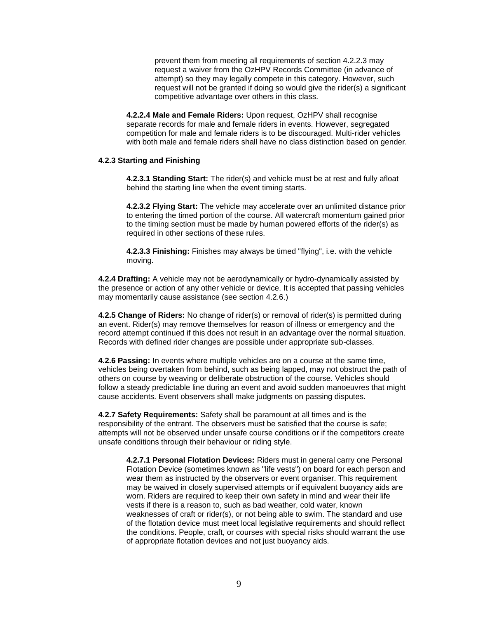prevent them from meeting all requirements of section 4.2.2.3 may request a waiver from the OzHPV Records Committee (in advance of attempt) so they may legally compete in this category. However, such request will not be granted if doing so would give the rider(s) a significant competitive advantage over others in this class.

**4.2.2.4 Male and Female Riders:** Upon request, OzHPV shall recognise separate records for male and female riders in events. However, segregated competition for male and female riders is to be discouraged. Multi-rider vehicles with both male and female riders shall have no class distinction based on gender.

### **4.2.3 Starting and Finishing**

**4.2.3.1 Standing Start:** The rider(s) and vehicle must be at rest and fully afloat behind the starting line when the event timing starts.

**4.2.3.2 Flying Start:** The vehicle may accelerate over an unlimited distance prior to entering the timed portion of the course. All watercraft momentum gained prior to the timing section must be made by human powered efforts of the rider(s) as required in other sections of these rules.

**4.2.3.3 Finishing:** Finishes may always be timed "flying", i.e. with the vehicle moving.

**4.2.4 Drafting:** A vehicle may not be aerodynamically or hydro-dynamically assisted by the presence or action of any other vehicle or device. It is accepted that passing vehicles may momentarily cause assistance (see section 4.2.6.)

**4.2.5 Change of Riders:** No change of rider(s) or removal of rider(s) is permitted during an event. Rider(s) may remove themselves for reason of illness or emergency and the record attempt continued if this does not result in an advantage over the normal situation. Records with defined rider changes are possible under appropriate sub-classes.

**4.2.6 Passing:** In events where multiple vehicles are on a course at the same time, vehicles being overtaken from behind, such as being lapped, may not obstruct the path of others on course by weaving or deliberate obstruction of the course. Vehicles should follow a steady predictable line during an event and avoid sudden manoeuvres that might cause accidents. Event observers shall make judgments on passing disputes.

**4.2.7 Safety Requirements:** Safety shall be paramount at all times and is the responsibility of the entrant. The observers must be satisfied that the course is safe; attempts will not be observed under unsafe course conditions or if the competitors create unsafe conditions through their behaviour or riding style.

**4.2.7.1 Personal Flotation Devices:** Riders must in general carry one Personal Flotation Device (sometimes known as "life vests") on board for each person and wear them as instructed by the observers or event organiser. This requirement may be waived in closely supervised attempts or if equivalent buoyancy aids are worn. Riders are required to keep their own safety in mind and wear their life vests if there is a reason to, such as bad weather, cold water, known weaknesses of craft or rider(s), or not being able to swim. The standard and use of the flotation device must meet local legislative requirements and should reflect the conditions. People, craft, or courses with special risks should warrant the use of appropriate flotation devices and not just buoyancy aids.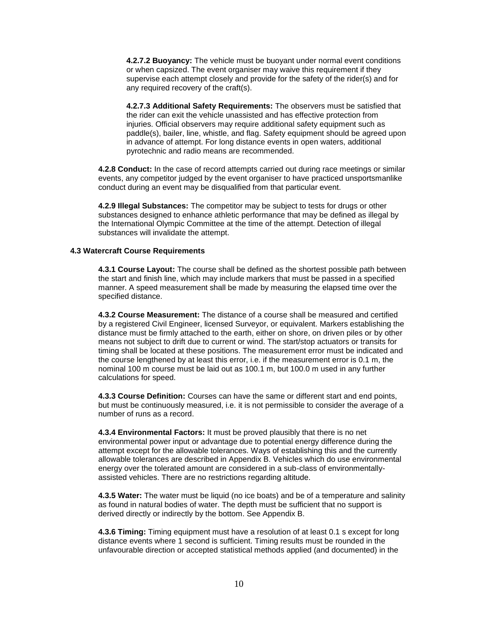**4.2.7.2 Buoyancy:** The vehicle must be buoyant under normal event conditions or when capsized. The event organiser may waive this requirement if they supervise each attempt closely and provide for the safety of the rider(s) and for any required recovery of the craft(s).

**4.2.7.3 Additional Safety Requirements:** The observers must be satisfied that the rider can exit the vehicle unassisted and has effective protection from injuries. Official observers may require additional safety equipment such as paddle(s), bailer, line, whistle, and flag. Safety equipment should be agreed upon in advance of attempt. For long distance events in open waters, additional pyrotechnic and radio means are recommended.

**4.2.8 Conduct:** In the case of record attempts carried out during race meetings or similar events, any competitor judged by the event organiser to have practiced unsportsmanlike conduct during an event may be disqualified from that particular event.

**4.2.9 Illegal Substances:** The competitor may be subject to tests for drugs or other substances designed to enhance athletic performance that may be defined as illegal by the International Olympic Committee at the time of the attempt. Detection of illegal substances will invalidate the attempt.

#### **4.3 Watercraft Course Requirements**

**4.3.1 Course Layout:** The course shall be defined as the shortest possible path between the start and finish line, which may include markers that must be passed in a specified manner. A speed measurement shall be made by measuring the elapsed time over the specified distance.

**4.3.2 Course Measurement:** The distance of a course shall be measured and certified by a registered Civil Engineer, licensed Surveyor, or equivalent. Markers establishing the distance must be firmly attached to the earth, either on shore, on driven piles or by other means not subject to drift due to current or wind. The start/stop actuators or transits for timing shall be located at these positions. The measurement error must be indicated and the course lengthened by at least this error, i.e. if the measurement error is 0.1 m, the nominal 100 m course must be laid out as 100.1 m, but 100.0 m used in any further calculations for speed.

**4.3.3 Course Definition:** Courses can have the same or different start and end points, but must be continuously measured, i.e. it is not permissible to consider the average of a number of runs as a record.

**4.3.4 Environmental Factors:** It must be proved plausibly that there is no net environmental power input or advantage due to potential energy difference during the attempt except for the allowable tolerances. Ways of establishing this and the currently allowable tolerances are described in Appendix B. Vehicles which do use environmental energy over the tolerated amount are considered in a sub-class of environmentallyassisted vehicles. There are no restrictions regarding altitude.

**4.3.5 Water:** The water must be liquid (no ice boats) and be of a temperature and salinity as found in natural bodies of water. The depth must be sufficient that no support is derived directly or indirectly by the bottom. See Appendix B.

**4.3.6 Timing:** Timing equipment must have a resolution of at least 0.1 s except for long distance events where 1 second is sufficient. Timing results must be rounded in the unfavourable direction or accepted statistical methods applied (and documented) in the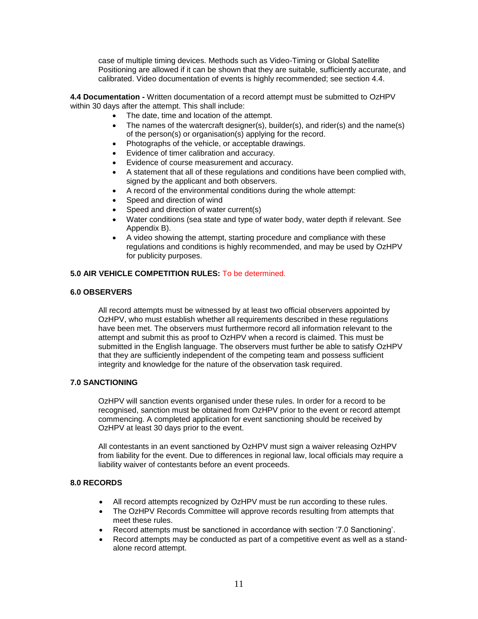case of multiple timing devices. Methods such as Video-Timing or Global Satellite Positioning are allowed if it can be shown that they are suitable, sufficiently accurate, and calibrated. Video documentation of events is highly recommended; see section 4.4.

**4.4 Documentation -** Written documentation of a record attempt must be submitted to OzHPV within 30 days after the attempt. This shall include:

- The date, time and location of the attempt.
- The names of the watercraft designer(s), builder(s), and rider(s) and the name(s) of the person(s) or organisation(s) applying for the record.
- Photographs of the vehicle, or acceptable drawings.
- Evidence of timer calibration and accuracy.
- Evidence of course measurement and accuracy.
- A statement that all of these regulations and conditions have been complied with, signed by the applicant and both observers.
- A record of the environmental conditions during the whole attempt:
- Speed and direction of wind
- Speed and direction of water current(s)
- Water conditions (sea state and type of water body, water depth if relevant. See Appendix B).
- A video showing the attempt, starting procedure and compliance with these regulations and conditions is highly recommended, and may be used by OzHPV for publicity purposes.

# **5.0 AIR VEHICLE COMPETITION RULES:** To be determined.

# **6.0 OBSERVERS**

All record attempts must be witnessed by at least two official observers appointed by OzHPV, who must establish whether all requirements described in these regulations have been met. The observers must furthermore record all information relevant to the attempt and submit this as proof to OzHPV when a record is claimed. This must be submitted in the English language. The observers must further be able to satisfy OzHPV that they are sufficiently independent of the competing team and possess sufficient integrity and knowledge for the nature of the observation task required.

# **7.0 SANCTIONING**

OzHPV will sanction events organised under these rules. In order for a record to be recognised, sanction must be obtained from OzHPV prior to the event or record attempt commencing. A completed application for event sanctioning should be received by OzHPV at least 30 days prior to the event.

All contestants in an event sanctioned by OzHPV must sign a waiver releasing OzHPV from liability for the event. Due to differences in regional law, local officials may require a liability waiver of contestants before an event proceeds.

### **8.0 RECORDS**

- All record attempts recognized by OzHPV must be run according to these rules.
- The OzHPV Records Committee will approve records resulting from attempts that meet these rules.
- Record attempts must be sanctioned in accordance with section '7.0 Sanctioning'.
- Record attempts may be conducted as part of a competitive event as well as a standalone record attempt.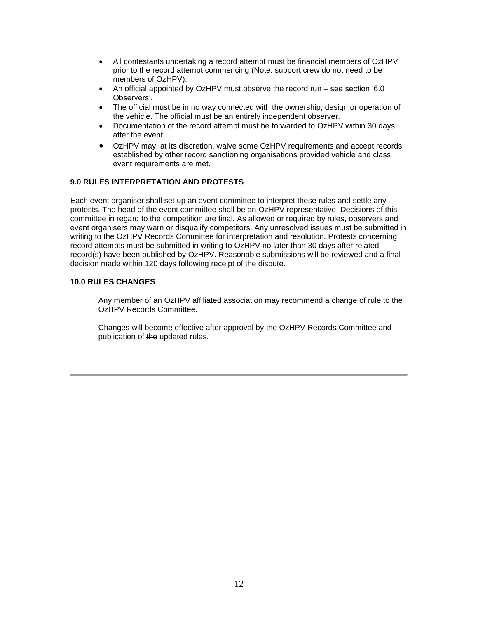- All contestants undertaking a record attempt must be financial members of OzHPV prior to the record attempt commencing (Note: support crew do not need to be members of OzHPV).
- An official appointed by OzHPV must observe the record run see section '6.0 Observers'.
- The official must be in no way connected with the ownership, design or operation of the vehicle. The official must be an entirely independent observer.
- Documentation of the record attempt must be forwarded to OzHPV within 30 days after the event.
- OzHPV may, at its discretion, waive some OzHPV requirements and accept records established by other record sanctioning organisations provided vehicle and class event requirements are met.

# **9.0 RULES INTERPRETATION AND PROTESTS**

Each event organiser shall set up an event committee to interpret these rules and settle any protests. The head of the event committee shall be an OzHPV representative. Decisions of this committee in regard to the competition are final. As allowed or required by rules, observers and event organisers may warn or disqualify competitors. Any unresolved issues must be submitted in writing to the OzHPV Records Committee for interpretation and resolution. Protests concerning record attempts must be submitted in writing to OzHPV no later than 30 days after related record(s) have been published by OzHPV. Reasonable submissions will be reviewed and a final decision made within 120 days following receipt of the dispute.

# **10.0 RULES CHANGES**

Any member of an OzHPV affiliated association may recommend a change of rule to the OzHPV Records Committee.

Changes will become effective after approval by the OzHPV Records Committee and publication of the updated rules.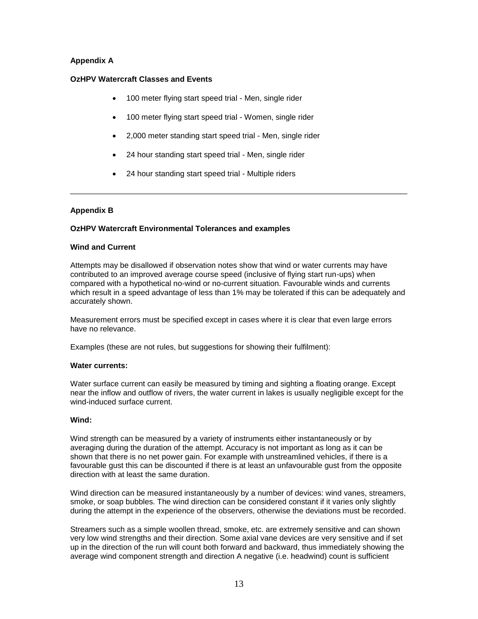# **Appendix A**

# **OzHPV Watercraft Classes and Events**

- 100 meter flying start speed trial Men, single rider
- 100 meter flying start speed trial Women, single rider
- 2,000 meter standing start speed trial Men, single rider
- 24 hour standing start speed trial Men, single rider
- 24 hour standing start speed trial Multiple riders

# **Appendix B**

### **OzHPV Watercraft Environmental Tolerances and examples**

### **Wind and Current**

Attempts may be disallowed if observation notes show that wind or water currents may have contributed to an improved average course speed (inclusive of flying start run-ups) when compared with a hypothetical no-wind or no-current situation. Favourable winds and currents which result in a speed advantage of less than 1% may be tolerated if this can be adequately and accurately shown.

Measurement errors must be specified except in cases where it is clear that even large errors have no relevance.

Examples (these are not rules, but suggestions for showing their fulfilment):

### **Water currents:**

Water surface current can easily be measured by timing and sighting a floating orange. Except near the inflow and outflow of rivers, the water current in lakes is usually negligible except for the wind-induced surface current.

### **Wind:**

Wind strength can be measured by a variety of instruments either instantaneously or by averaging during the duration of the attempt. Accuracy is not important as long as it can be shown that there is no net power gain. For example with unstreamlined vehicles, if there is a favourable gust this can be discounted if there is at least an unfavourable gust from the opposite direction with at least the same duration.

Wind direction can be measured instantaneously by a number of devices: wind vanes, streamers, smoke, or soap bubbles. The wind direction can be considered constant if it varies only slightly during the attempt in the experience of the observers, otherwise the deviations must be recorded.

Streamers such as a simple woollen thread, smoke, etc. are extremely sensitive and can shown very low wind strengths and their direction. Some axial vane devices are very sensitive and if set up in the direction of the run will count both forward and backward, thus immediately showing the average wind component strength and direction A negative (i.e. headwind) count is sufficient